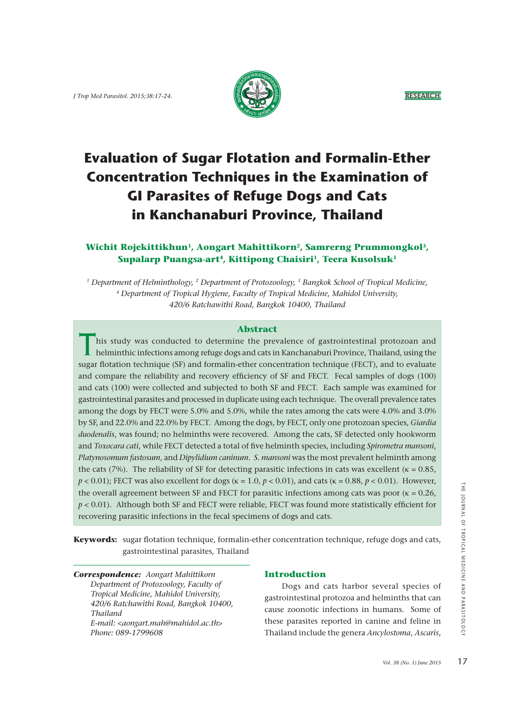

# **Evaluation of Sugar Flotation and Formalin-Ether Concentration Techniques in the Examination of GI Parasites of Refuge Dogs and Cats in Kanchanaburi Province, Thailand**

# **Wichit Rojekittikhun1, Aongart Mahittikorn2, Samrerng Prummongkol3,**  Supalarp Puangsa-art<sup>4</sup>, Kittipong Chaisiri<sup>1</sup>, Teera Kusolsuk<sup>1</sup>

*1 Department of Helminthology, 2 Department of Protozoology, 3 Bangkok School of Tropical Medicine, 4 Department of Tropical Hygiene, Faculty of Tropical Medicine, Mahidol University, 420/6 Ratchawithi Road, Bangkok 10400, Thailand*

#### **Abstract**

Abstract<br>
his study was conducted to determine the prevalence of gastrointestinal protozoan and<br>
helminthic infections among refuge dogs and cats in Kanchanaburi Province, Thailand, using the his study was conducted to determine the prevalence of gastrointestinal protozoan and sugar flotation technique (SF) and formalin-ether concentration technique (FECT), and to evaluate and compare the reliability and recovery efficiency of SF and FECT. Fecal samples of dogs (100) and cats (100) were collected and subjected to both SF and FECT. Each sample was examined for gastrointestinal parasites and processed in duplicate using each technique. The overall prevalence rates among the dogs by FECT were 5.0% and 5.0%, while the rates among the cats were 4.0% and 3.0% by SF, and 22.0% and 22.0% by FECT. Among the dogs, by FECT, only one protozoan species, *Giardia duodenalis*, was found; no helminths were recovered. Among the cats, SF detected only hookworm and *Toxocara cati*, while FECT detected a total of five helminth species, including *Spirometra mansoni*, *Platynosomum fastosum*, and *Dipylidium caninum. S. mansoni* was the most prevalent helminth among the cats (7%). The reliability of SF for detecting parasitic infections in cats was excellent ( $\kappa = 0.85$ ,  $p < 0.01$ ); FECT was also excellent for dogs ( $\kappa = 1.0$ ,  $p < 0.01$ ), and cats ( $\kappa = 0.88$ ,  $p < 0.01$ ). However, the overall agreement between SF and FECT for parasitic infections among cats was poor ( $\kappa = 0.26$ ,  $p < 0.01$ ). Although both SF and FECT were reliable, FECT was found more statistically efficient for recovering parasitic infections in the fecal specimens of dogs and cats.

**Keywords:** sugar flotation technique, formalin-ether concentration technique, refuge dogs and cats, gastrointestinal parasites, Thailand

*Correspondence: Aongart Mahittikorn Department of Protozoology, Faculty of Tropical Medicine, Mahidol University, 420/6 Ratchawithi Road, Bangkok 10400, Thailand E-mail: <aongart.mah@mahidol.ac.th> Phone: 089-1799608*

## **Introduction**

 Dogs and cats harbor several species of gastrointestinal protozoa and helminths that can cause zoonotic infections in humans. Some of these parasites reported in canine and feline in Thailand include the genera *Ancylostoma*, *Ascaris*,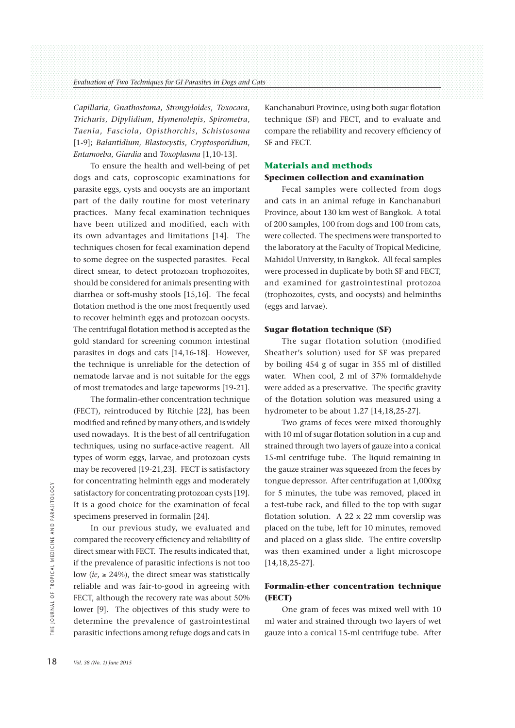*Capillaria*, *Gnathostoma*, *Strongyloides*, *Toxocara*, *Trichuris*, *Dipylidium*, *Hymenolepis*, *Spirometra*, *Taenia*, *Fasciola*, *Opisthorchis*, *Schistosoma*  [1-9]; *Balantidium*, *Blastocystis*, *Cryptosporidium*, *Entamoeba*, *Giardia* and *Toxoplasma* [1,10-13].

 To ensure the health and well-being of pet dogs and cats, coproscopic examinations for parasite eggs, cysts and oocysts are an important part of the daily routine for most veterinary practices. Many fecal examination techniques have been utilized and modified, each with its own advantages and limitations [14]. The techniques chosen for fecal examination depend to some degree on the suspected parasites. Fecal direct smear, to detect protozoan trophozoites, should be considered for animals presenting with diarrhea or soft-mushy stools [15,16]. The fecal flotation method is the one most frequently used to recover helminth eggs and protozoan oocysts. The centrifugal flotation method is accepted as the gold standard for screening common intestinal parasites in dogs and cats [14,16-18]. However, the technique is unreliable for the detection of nematode larvae and is not suitable for the eggs of most trematodes and large tapeworms [19-21].

 The formalin-ether concentration technique (FECT), reintroduced by Ritchie [22], has been modified and refined by many others, and is widely used nowadays. It is the best of all centrifugation techniques, using no surface-active reagent. All types of worm eggs, larvae, and protozoan cysts may be recovered [19-21,23]. FECT is satisfactory for concentrating helminth eggs and moderately satisfactory for concentrating protozoan cysts [19]. It is a good choice for the examination of fecal specimens preserved in formalin [24].

 In our previous study, we evaluated and compared the recovery efficiency and reliability of direct smear with FECT. The results indicated that, if the prevalence of parasitic infections is not too low ( $ie$ ,  $\geq$  24%), the direct smear was statistically reliable and was fair-to-good in agreeing with FECT, although the recovery rate was about 50% lower [9]. The objectives of this study were to determine the prevalence of gastrointestinal parasitic infections among refuge dogs and cats in 38 satisfactory for concentration<br>satisfactory for concentration<br>of the specimens prese<br>pecimens prese<br> $\frac{2}{3}$  In our pre<br>compared the red<br>direct smear with<br>if the prevalence<br>low (*ie*,  $\geq$  24%),<br>reliable and wa<br>FECT,

Kanchanaburi Province, using both sugar flotation technique (SF) and FECT, and to evaluate and compare the reliability and recovery efficiency of SF and FECT.

## **Materials and methods**

#### **Specimen collection and examination**

 Fecal samples were collected from dogs and cats in an animal refuge in Kanchanaburi Province, about 130 km west of Bangkok. A total of 200 samples, 100 from dogs and 100 from cats, were collected. The specimens were transported to the laboratory at the Faculty of Tropical Medicine, Mahidol University, in Bangkok. All fecal samples were processed in duplicate by both SF and FECT, and examined for gastrointestinal protozoa (trophozoites, cysts, and oocysts) and helminths (eggs and larvae).

#### **Sugar flotation technique (SF)**

 The sugar flotation solution (modified Sheather's solution) used for SF was prepared by boiling 454 g of sugar in 355 ml of distilled water. When cool, 2 ml of 37% formaldehyde were added as a preservative. The specific gravity of the flotation solution was measured using a hydrometer to be about 1.27 [14,18,25-27].

 Two grams of feces were mixed thoroughly with 10 ml of sugar flotation solution in a cup and strained through two layers of gauze into a conical 15-ml centrifuge tube. The liquid remaining in the gauze strainer was squeezed from the feces by tongue depressor. After centrifugation at 1,000xg for 5 minutes, the tube was removed, placed in a test-tube rack, and filled to the top with sugar flotation solution. A 22 x 22 mm coverslip was placed on the tube, left for 10 minutes, removed and placed on a glass slide. The entire coverslip was then examined under a light microscope [14,18,25-27].

## **Formalin-ether concentration technique (FECT)**

 One gram of feces was mixed well with 10 ml water and strained through two layers of wet gauze into a conical 15-ml centrifuge tube. After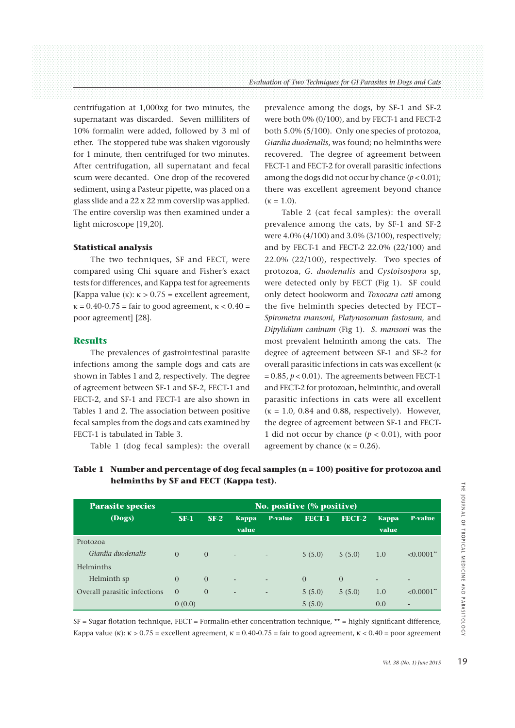centrifugation at 1,000xg for two minutes, the supernatant was discarded. Seven milliliters of 10% formalin were added, followed by 3 ml of ether. The stoppered tube was shaken vigorously for 1 minute, then centrifuged for two minutes. After centrifugation, all supernatant and fecal scum were decanted. One drop of the recovered sediment, using a Pasteur pipette, was placed on a glass slide and a 22 x 22 mm coverslip was applied. The entire coverslip was then examined under a light microscope [19,20].

#### **Statistical analysis**

 The two techniques, SF and FECT, were compared using Chi square and Fisher's exact tests for differences, and Kappa test for agreements [Kappa value  $(\kappa): \kappa > 0.75$  = excellent agreement,  $\kappa = 0.40 - 0.75 = \text{fair to good agreement, } \kappa < 0.40 =$ poor agreement] [28].

### **Results**

 The prevalences of gastrointestinal parasite infections among the sample dogs and cats are shown in Tables 1 and 2, respectively. The degree of agreement between SF-1 and SF-2, FECT-1 and FECT-2, and SF-1 and FECT-1 are also shown in Tables 1 and 2. The association between positive fecal samples from the dogs and cats examined by FECT-1 is tabulated in Table 3.

Table 1 (dog fecal samples): the overall

prevalence among the dogs, by SF-1 and SF-2 were both 0% (0/100), and by FECT-1 and FECT-2 both 5.0% (5/100). Only one species of protozoa, *Giardia duodenalis*, was found; no helminths were recovered. The degree of agreement between FECT-1 and FECT-2 for overall parasitic infections among the dogs did not occur by chance  $(p < 0.01)$ : there was excellent agreement beyond chance  $(\kappa = 1.0).$ 

 Table 2 (cat fecal samples): the overall prevalence among the cats, by SF-1 and SF-2 were 4.0% (4/100) and 3.0% (3/100), respectively; and by FECT-1 and FECT-2 22.0% (22/100) and 22.0% (22/100), respectively. Two species of protozoa, *G. duodenalis* and *Cystoisospora* sp, were detected only by FECT (Fig 1). SF could only detect hookworm and *Toxocara cati* among the five helminth species detected by FECT− *Spirometra mansoni*, *Platynosomum fastosum,* and *Dipylidium caninum* (Fig 1). *S. mansoni* was the most prevalent helminth among the cats. The degree of agreement between SF-1 and SF-2 for overall parasitic infections in cats was excellent ( $\kappa$  $= 0.85, p < 0.01$ ). The agreements between FECT-1 and FECT-2 for protozoan, helminthic, and overall parasitic infections in cats were all excellent  $(x = 1.0, 0.84$  and 0.88, respectively). However, the degree of agreement between SF-1 and FECT-1 did not occur by chance  $(p < 0.01)$ , with poor agreement by chance ( $\kappa = 0.26$ ).

| <b>Parasite species</b>      | No. positive (% positive) |          |                |                |          |          |                       |                          |  |
|------------------------------|---------------------------|----------|----------------|----------------|----------|----------|-----------------------|--------------------------|--|
| (Dogs)                       | $SF-1$                    | $SF-2$   | Kappa<br>value | <b>P-value</b> | FECT-1   | FECT-2   | <b>Kappa</b><br>value | <b>P-value</b>           |  |
| Protozoa                     |                           |          |                |                |          |          |                       |                          |  |
| Giardia duodenalis           | $\Omega$                  | $\Omega$ |                |                | 5(5.0)   | 5(5.0)   | 1.0                   | $< 0.0001$ **            |  |
| Helminths                    |                           |          |                |                |          |          |                       |                          |  |
| Helminth sp                  | $\Omega$                  | $\Omega$ |                |                | $\Omega$ | $\Omega$ |                       |                          |  |
| Overall parasitic infections | $\Omega$                  | $\Omega$ |                |                | 5(5.0)   | 5(5.0)   | 1.0                   | $< 0.0001$ <sup>**</sup> |  |
|                              | 0(0.0)                    |          |                |                | 5(5.0)   |          | 0.0                   |                          |  |

**Table 1 Number and percentage of dog fecal samples (n = 100) positive for protozoa and helminths by SF and FECT (Kappa test).**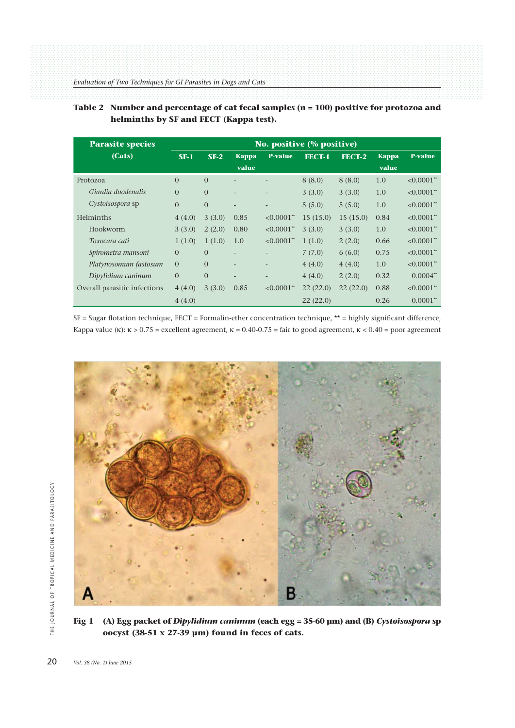## **Table 2 Number and percentage of cat fecal samples (n = 100) positive for protozoa and helminths by SF and FECT (Kappa test).**

| <b>Parasite species</b>      | No. positive (% positive) |                |                          |                          |          |          |              |                        |
|------------------------------|---------------------------|----------------|--------------------------|--------------------------|----------|----------|--------------|------------------------|
| (Cats)                       | $SF-1$                    | $SF-2$         | <b>Kappa</b>             | <b>P-value</b>           | FECT-1   | FECT-2   | <b>Kappa</b> | <b>P-value</b>         |
|                              |                           |                | value                    |                          |          |          | value        |                        |
| Protozoa                     | $\Omega$                  | $\Omega$       |                          |                          | 8(8.0)   | 8(8.0)   | 1.0          | $\leq 0.0001$ **       |
| Giardia duodenalis           | $\Omega$                  | $\Omega$       | $\overline{\phantom{a}}$ | $\overline{\phantom{a}}$ | 3(3.0)   | 3(3.0)   | 1.0          | $< 0.0001$ **          |
| Cystoisospora sp             | $\Omega$                  | $\Omega$       |                          | $\overline{\phantom{a}}$ | 5(5.0)   | 5(5.0)   | 1.0          | $< 0.0001$ **          |
| Helminths                    | 4(4.0)                    | 3(3.0)         | 0.85                     | $\leq 0.0001$ "          | 15(15.0) | 15(15.0) | 0.84         | $< 0.0001$ **          |
| Hookworm                     | 3(3.0)                    | 2(2.0)         | 0.80                     | $< 0.0001$ "             | 3(3.0)   | 3(3.0)   | 1.0          | $< 0.0001$ **          |
| Toxocara cati                | 1(1.0)                    | 1(1.0)         | 1.0                      | $< 0.0001$ "             | 1(1.0)   | 2(2.0)   | 0.66         | $< 0.0001$ **          |
| Spirometra mansoni           | $\Omega$                  | $\Omega$       | $\overline{\phantom{0}}$ |                          | 7(7.0)   | 6(6.0)   | 0.75         | $< 0.0001$ **          |
| Platynosomum fastosum        | $\Omega$                  | $\overline{0}$ | $\overline{\phantom{a}}$ |                          | 4(4.0)   | 4(4.0)   | 1.0          | $< 0.0001$ **          |
| Dipylidium caninum           | $\Omega$                  | $\Omega$       | $\overline{\phantom{a}}$ | $\overline{\phantom{a}}$ | 4(4.0)   | 2(2.0)   | 0.32         | $0.0004$ <sup>**</sup> |
| Overall parasitic infections | 4(4.0)                    | 3(3.0)         | 0.85                     | $< 0.0001$ "             | 22(22.0) | 22(22.0) | 0.88         | $< 0.0001$ **          |
|                              | 4(4.0)                    |                |                          |                          | 22(22.0) |          | 0.26         | $0.0001$ <sup>**</sup> |

SF = Sugar flotation technique, FECT = Formalin-ether concentration technique, \*\* = highly significant difference, Kappa value ( $\kappa$ ):  $\kappa > 0.75$  = excellent agreement,  $\kappa = 0.40$ -0.75 = fair to good agreement,  $\kappa < 0.40$  = poor agreement



**Fig 1 (A) Egg packet of** *Dipylidium caninum* **(each egg = 35-60 μm) and (B)** *Cystoisospora* **sp oocyst (38-51 x 27-39 μm) found in feces of cats.**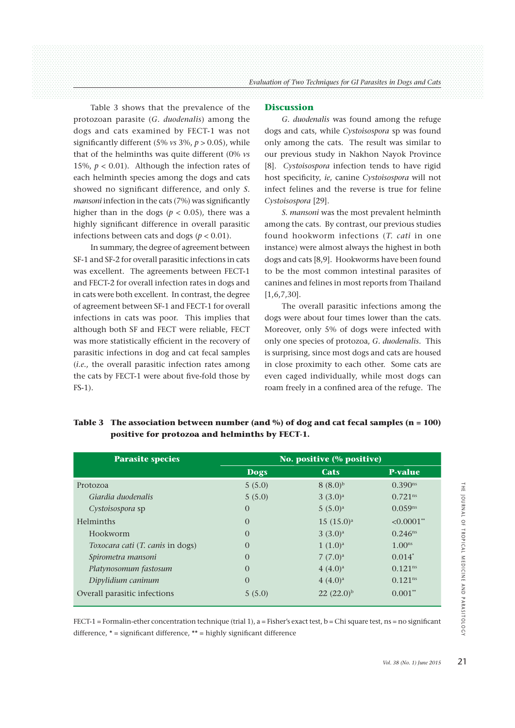Table 3 shows that the prevalence of the protozoan parasite (*G. duodenalis*) among the dogs and cats examined by FECT-1 was not significantly different (5% *vs* 3%, *p* > 0.05), while that of the helminths was quite different (0% *vs* 15%,  $p < 0.01$ ). Although the infection rates of each helminth species among the dogs and cats showed no significant difference, and only *S. mansoni* infection in the cats (7%) was significantly higher than in the dogs ( $p < 0.05$ ), there was a highly significant difference in overall parasitic infections between cats and dogs ( $p < 0.01$ ).

 In summary, the degree of agreement between SF-1 and SF-2 for overall parasitic infections in cats was excellent. The agreements between FECT-1 and FECT-2 for overall infection rates in dogs and in cats were both excellent. In contrast, the degree of agreement between SF-1 and FECT-1 for overall infections in cats was poor. This implies that although both SF and FECT were reliable, FECT was more statistically efficient in the recovery of parasitic infections in dog and cat fecal samples (*i.e.*, the overall parasitic infection rates among the cats by FECT-1 were about five-fold those by FS-1).

#### **Discussion**

 *G. duodenalis* was found among the refuge dogs and cats, while *Cystoisospora* sp was found only among the cats. The result was similar to our previous study in Nakhon Nayok Province [8]. *Cystoisospora* infection tends to have rigid host specificity, *ie*, canine *Cystoisospora* will not infect felines and the reverse is true for feline *Cystoisospora* [29].

 *S. mansoni* was the most prevalent helminth among the cats. By contrast, our previous studies found hookworm infections (*T. cati* in one instance) were almost always the highest in both dogs and cats [8,9]. Hookworms have been found to be the most common intestinal parasites of canines and felines in most reports from Thailand [1,6,7,30].

 The overall parasitic infections among the dogs were about four times lower than the cats. Moreover, only 5% of dogs were infected with only one species of protozoa, *G. duodenalis.* This is surprising, since most dogs and cats are housed in close proximity to each other. Some cats are even caged individually, while most dogs can roam freely in a confined area of the refuge. The

| <b>Parasite species</b>                 | No. positive (% positive) |                     |                     |  |  |
|-----------------------------------------|---------------------------|---------------------|---------------------|--|--|
|                                         | <b>Dogs</b>               | Cats                | <b>P-value</b>      |  |  |
| Protozoa                                | 5(5.0)                    | $8(8.0)^{b}$        | $0.390^{ns}$        |  |  |
| Giardia duodenalis                      | 5(5.0)                    | 3(3.0) <sup>a</sup> | 0.721 <sup>ns</sup> |  |  |
| Cystoisospora sp                        | $\theta$                  | $5(5.0)^a$          | $0.059^{ns}$        |  |  |
| <b>Helminths</b>                        | $\Omega$                  | $15(15.0)^a$        | $< 0.0001$ **       |  |  |
| Hookworm                                | $\Omega$                  | 3(3.0) <sup>a</sup> | $0.246^{ns}$        |  |  |
| <i>Toxocara cati (T. canis in dogs)</i> | $\Omega$                  | $1(1.0)^a$          | 1.00 <sub>ns</sub>  |  |  |
| Spirometra mansoni                      | $\Omega$                  | $7(7.0)^a$          | $0.014^*$           |  |  |
| Platynosomum fastosum                   | $\Omega$                  | $4(4.0)^a$          | 0.121 <sup>ns</sup> |  |  |
| Dipylidium caninum                      | $\Omega$                  | $4(4.0)^a$          | 0.121 <sup>ns</sup> |  |  |
| Overall parasitic infections            | 5(5.0)                    | $22 (22.0)^b$       | $0.001**$           |  |  |

|                                                | Table 3 The association between number (and $\%$ ) of dog and cat fecal samples (n = 100) |
|------------------------------------------------|-------------------------------------------------------------------------------------------|
| positive for protozoa and helminths by FECT-1. |                                                                                           |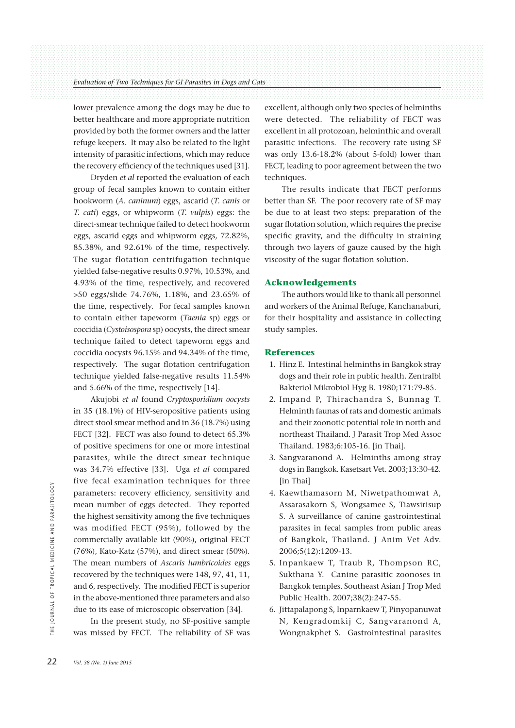lower prevalence among the dogs may be due to better healthcare and more appropriate nutrition provided by both the former owners and the latter refuge keepers. It may also be related to the light intensity of parasitic infections, which may reduce the recovery efficiency of the techniques used [31].

 Dryden *et al* reported the evaluation of each group of fecal samples known to contain either hookworm (*A. caninum*) eggs, ascarid (*T. canis* or *T. cati*) eggs, or whipworm (*T. vulpis*) eggs: the direct-smear technique failed to detect hookworm eggs, ascarid eggs and whipworm eggs, 72.82%, 85.38%, and 92.61% of the time, respectively. The sugar flotation centrifugation technique yielded false-negative results 0.97%, 10.53%, and 4.93% of the time, respectively, and recovered >50 eggs/slide 74.76%, 1.18%, and 23.65% of the time, respectively. For fecal samples known to contain either tapeworm (*Taenia* sp) eggs or coccidia (*Cystoisospora* sp) oocysts, the direct smear technique failed to detect tapeworm eggs and coccidia oocysts 96.15% and 94.34% of the time, respectively. The sugar flotation centrifugation technique yielded false-negative results 11.54% and 5.66% of the time, respectively [14].

 Akujobi *et al* found *Cryptosporidium oocysts* in 35 (18.1%) of HIV-seropositive patients using direct stool smear method and in 36 (18.7%) using FECT [32]. FECT was also found to detect 65.3% of positive specimens for one or more intestinal parasites, while the direct smear technique was 34.7% effective [33]. Uga *et al* compared five fecal examination techniques for three parameters: recovery efficiency, sensitivity and mean number of eggs detected. They reported the highest sensitivity among the five techniques was modified FECT (95%), followed by the commercially available kit (90%), original FECT (76%), Kato-Katz (57%), and direct smear (50%). The mean numbers of *Ascaris lumbricoides* eggs recovered by the techniques were 148, 97, 41, 11, and 6, respectively. The modified FECT is superior in the above-mentioned three parameters and also due to its ease of microscopic observation [34]. 22<br>
22 *Vol. 38* (*No. 1) June 2015*<br>
22 *Vol. 38* (*No. 1) June 2015*<br>
22 *Vol. 38* (*No. 1) June 2015*<br>
22 *Vol. 38* (*No. 1) June 2015*<br>
22 *Vol. 38* (*No. 1) June 2015* 

 In the present study, no SF-positive sample was missed by FECT. The reliability of SF was excellent, although only two species of helminths were detected. The reliability of FECT was excellent in all protozoan, helminthic and overall parasitic infections. The recovery rate using SF was only 13.6-18.2% (about 5-fold) lower than FECT, leading to poor agreement between the two techniques.

 The results indicate that FECT performs better than SF. The poor recovery rate of SF may be due to at least two steps: preparation of the sugar flotation solution, which requires the precise specific gravity, and the difficulty in straining through two layers of gauze caused by the high viscosity of the sugar flotation solution.

#### **Acknowledgements**

The authors would like to thank all personnel and workers of the Animal Refuge, Kanchanaburi, for their hospitality and assistance in collecting study samples.

#### **References**

- 1. Hinz E. Intestinal helminths in Bangkok stray dogs and their role in public health. Zentralbl Bakteriol Mikrobiol Hyg B. 1980;171:79-85.
- 2. Impand P, Thirachandra S, Bunnag T. Helminth faunas of rats and domestic animals and their zoonotic potential role in north and northeast Thailand*.* J Parasit Trop Med Assoc Thailand. 1983;6:105-16. [in Thai].
- 3. Sangvaranond A. Helminths among stray dogs in Bangkok. Kasetsart Vet. 2003;13:30-42. [in Thai]
- 4. Kaewthamasorn M, Niwetpathomwat A, Assarasakorn S, Wongsamee S, Tiawsirisup S. A surveillance of canine gastrointestinal parasites in fecal samples from public areas of Bangkok, Thailand. J Anim Vet Adv. 2006;5(12):1209-13.
- 5. Inpankaew T, Traub R, Thompson RC, Sukthana Y. Canine parasitic zoonoses in Bangkok temples. Southeast Asian J Trop Med Public Health. 2007;38(2):247-55.
- 6. Jittapalapong S, Inparnkaew T, Pinyopanuwat N, Kengradomkij C, Sangvaranond A, Wongnakphet S. Gastrointestinal parasites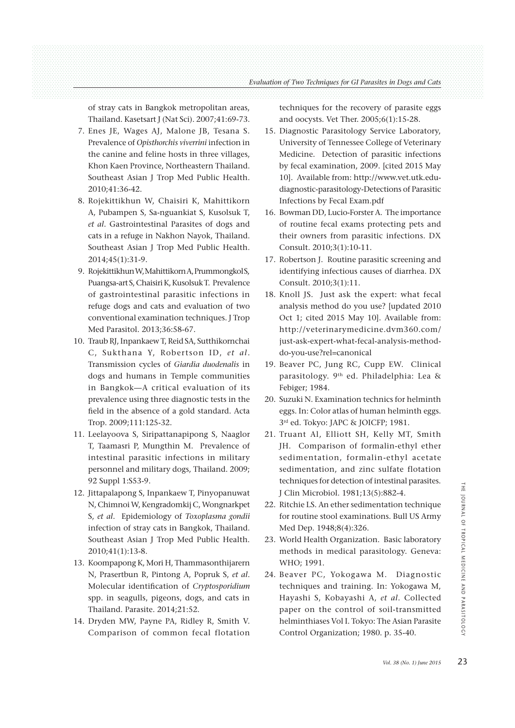of stray cats in Bangkok metropolitan areas, Thailand. Kasetsart J (Nat Sci). 2007;41:69-73.

- 7. Enes JE, Wages AJ, Malone JB, Tesana S. Prevalence of *Opisthorchis viverrini* infection in the canine and feline hosts in three villages, Khon Kaen Province, Northeastern Thailand. Southeast Asian J Trop Med Public Health. 2010;41:36-42.
- 8. Rojekittikhun W, Chaisiri K, Mahittikorn A, Pubampen S, Sa-nguankiat S, Kusolsuk T, *et al*. Gastrointestinal Parasites of dogs and cats in a refuge in Nakhon Nayok, Thailand. Southeast Asian J Trop Med Public Health. 2014;45(1):31-9.
- 9. Rojekittikhun W, Mahittikorn A, Prummongkol S, Puangsa-art S, Chaisiri K, Kusolsuk T. Prevalence of gastrointestinal parasitic infections in refuge dogs and cats and evaluation of two conventional examination techniques. J Trop Med Parasitol. 2013;36:58-67.
- 10. Traub RJ, Inpankaew T, Reid SA, Sutthikornchai C, Sukthana Y, Robertson ID, *et al*. Transmission cycles of *Giardia duodenalis* in dogs and humans in Temple communities in Bangkok—A critical evaluation of its prevalence using three diagnostic tests in the field in the absence of a gold standard. Acta Trop. 2009;111:125-32.
- 11. Leelayoova S, Siripattanapipong S, Naaglor T, Taamasri P, Mungthin M. Prevalence of intestinal parasitic infections in military personnel and military dogs, Thailand. 2009; 92 Suppl 1:S53-9.
- 12. Jittapalapong S, Inpankaew T, Pinyopanuwat N, Chimnoi W, Kengradomkij C, Wongnarkpet S, *et al*. Epidemiology of *Toxoplasma gondii* infection of stray cats in Bangkok, Thailand. Southeast Asian J Trop Med Public Health. 2010;41(1):13-8.
- 13. Koompapong K, Mori H, Thammasonthijarern N, Prasertbun R, Pintong A, Popruk S, *et al*. Molecular identification of *Cryptosporidium* spp. in seagulls, pigeons, dogs, and cats in Thailand. Parasite. 2014;21:52.
- 14. Dryden MW, Payne PA, Ridley R, Smith V. Comparison of common fecal flotation

techniques for the recovery of parasite eggs and oocysts. Vet Ther. 2005;6(1):15-28.

- 15. Diagnostic Parasitology Service Laboratory, University of Tennessee College of Veterinary Medicine. Detection of parasitic infections by fecal examination, 2009. [cited 2015 May 10]. Available from: http://www.vet.utk.edudiagnostic-parasitology-Detections of Parasitic Infections by Fecal Exam.pdf
- 16. Bowman DD, Lucio-Forster A. The importance of routine fecal exams protecting pets and their owners from parasitic infections. DX Consult. 2010;3(1):10-11.
- 17. Robertson J. Routine parasitic screening and identifying infectious causes of diarrhea. DX Consult. 2010;3(1):11.
- 18. Knoll JS. Just ask the expert: what fecal analysis method do you use? [updated 2010 Oct 1; cited 2015 May 10]. Available from: http://veterinarymedicine.dvm360.com/ just-ask-expert-what-fecal-analysis-methoddo-you-use?rel=canonical
- 19. Beaver PC, Jung RC, Cupp EW. Clinical parasitology. 9th ed. Philadelphia: Lea & Febiger; 1984.
- 20. Suzuki N. Examination technics for helminth eggs. In: Color atlas of human helminth eggs. 3rd ed. Tokyo: JAPC & JOICFP; 1981.
- 21. Truant Al, Elliott SH, Kelly MT, Smith JH. Comparison of formalin-ethyl ether sedimentation, formalin-ethyl acetate sedimentation, and zinc sulfate flotation techniques for detection of intestinal parasites. J Clin Microbiol. 1981;13(5):882-4.
- 22. Ritchie LS. An ether sedimentation technique for routine stool examinations. Bull US Army Med Dep. 1948;8(4):326.
- 23. World Health Organization. Basic laboratory methods in medical parasitology. Geneva: WHO; 1991.
- 24. Beaver PC, Yokogawa M. Diagnostic techniques and training. In: Yokogawa M, Hayashi S, Kobayashi A, *et al*. Collected paper on the control of soil-transmitted helminthiases Vol I. Tokyo: The Asian Parasite Control Organization; 1980. p. 35-40. **FIRM PERIODES.**<br> **Vol. 38 (No. 1) June 2015**<br> **Vol. 38** (No. 1) June 2015<br> **Vol. 38** (No. 1) June 2015<br> **Vol. 38** (No. 1) June 2015<br> **Vol. 38** (No. 1) June 2015<br> **23**